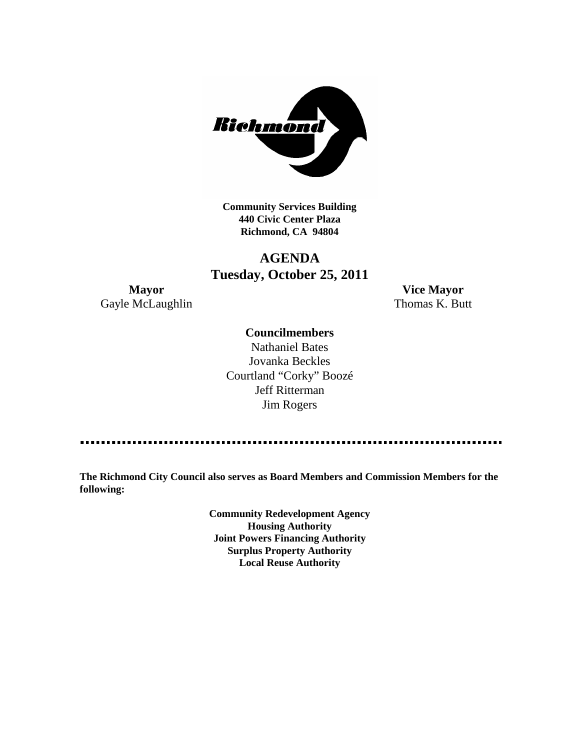

**Community Services Building 440 Civic Center Plaza Richmond, CA 94804**

# **AGENDA Tuesday, October 25, 2011**

Gayle McLaughlin Thomas K. Butt

**Mayor Vice Mayor**

# **Councilmembers**

Nathaniel Bates Jovanka Beckles Courtland "Corky" Boozé Jeff Ritterman Jim Rogers

**The Richmond City Council also serves as Board Members and Commission Members for the following:**

> **Community Redevelopment Agency Housing Authority Joint Powers Financing Authority Surplus Property Authority Local Reuse Authority**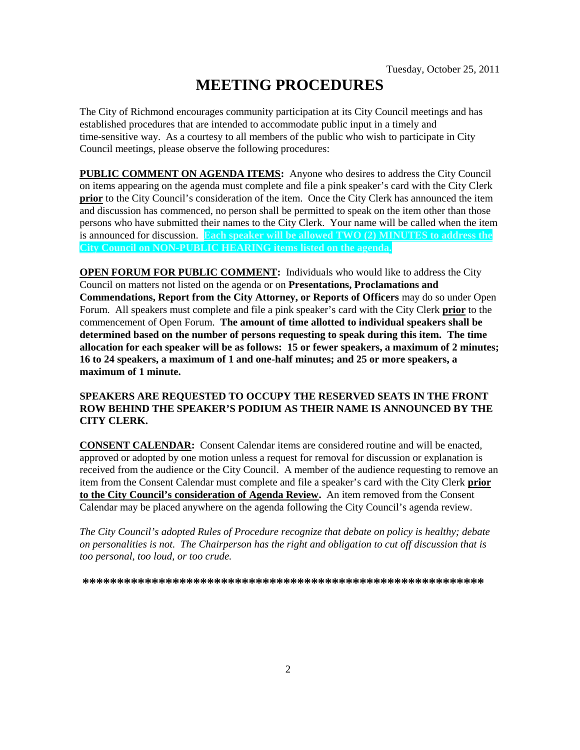# **MEETING PROCEDURES**

The City of Richmond encourages community participation at its City Council meetings and has established procedures that are intended to accommodate public input in a timely and time-sensitive way. As a courtesy to all members of the public who wish to participate in City Council meetings, please observe the following procedures:

**PUBLIC COMMENT ON AGENDA ITEMS:** Anyone who desires to address the City Council on items appearing on the agenda must complete and file a pink speaker's card with the City Clerk **prior** to the City Council's consideration of the item. Once the City Clerk has announced the item and discussion has commenced, no person shall be permitted to speak on the item other than those persons who have submitted their names to the City Clerk. Your name will be called when the item is announced for discussion. **Each speaker will be allowed TWO (2) MINUTES to address the City Council on NON-PUBLIC HEARING items listed on the agenda.**

**OPEN FORUM FOR PUBLIC COMMENT:** Individuals who would like to address the City Council on matters not listed on the agenda or on **Presentations, Proclamations and Commendations, Report from the City Attorney, or Reports of Officers** may do so under Open Forum. All speakers must complete and file a pink speaker's card with the City Clerk **prior** to the commencement of Open Forum. **The amount of time allotted to individual speakers shall be determined based on the number of persons requesting to speak during this item. The time allocation for each speaker will be as follows: 15 or fewer speakers, a maximum of 2 minutes; 16 to 24 speakers, a maximum of 1 and one-half minutes; and 25 or more speakers, a maximum of 1 minute.**

# **SPEAKERS ARE REQUESTED TO OCCUPY THE RESERVED SEATS IN THE FRONT ROW BEHIND THE SPEAKER'S PODIUM AS THEIR NAME IS ANNOUNCED BY THE CITY CLERK.**

**CONSENT CALENDAR:** Consent Calendar items are considered routine and will be enacted, approved or adopted by one motion unless a request for removal for discussion or explanation is received from the audience or the City Council. A member of the audience requesting to remove an item from the Consent Calendar must complete and file a speaker's card with the City Clerk **prior to the City Council's consideration of Agenda Review.** An item removed from the Consent Calendar may be placed anywhere on the agenda following the City Council's agenda review.

*The City Council's adopted Rules of Procedure recognize that debate on policy is healthy; debate on personalities is not. The Chairperson has the right and obligation to cut off discussion that is too personal, too loud, or too crude.*

**\*\*\*\*\*\*\*\*\*\*\*\*\*\*\*\*\*\*\*\*\*\*\*\*\*\*\*\*\*\*\*\*\*\*\*\*\*\*\*\*\*\*\*\*\*\*\*\*\*\*\*\*\*\*\*\*\*\***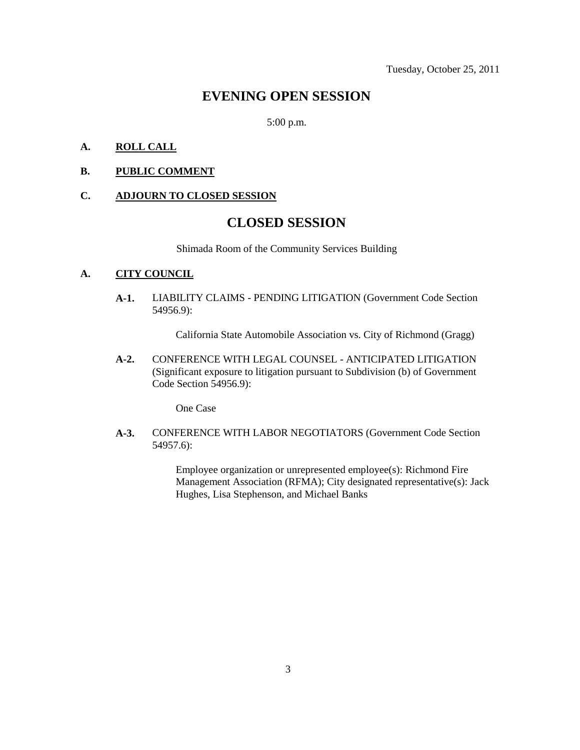# **EVENING OPEN SESSION**

5:00 p.m.

# **A. ROLL CALL**

**B. PUBLIC COMMENT**

#### **C. ADJOURN TO CLOSED SESSION**

# **CLOSED SESSION**

Shimada Room of the Community Services Building

# **A. CITY COUNCIL**

**A-1.** LIABILITY CLAIMS - PENDING LITIGATION (Government Code Section 54956.9):

California State Automobile Association vs. City of Richmond (Gragg)

**A-2.** CONFERENCE WITH LEGAL COUNSEL - ANTICIPATED LITIGATION (Significant exposure to litigation pursuant to Subdivision (b) of Government Code Section 54956.9):

One Case

**A-3.** CONFERENCE WITH LABOR NEGOTIATORS (Government Code Section 54957.6):

> Employee organization or unrepresented employee(s): Richmond Fire Management Association (RFMA); City designated representative(s): Jack Hughes, Lisa Stephenson, and Michael Banks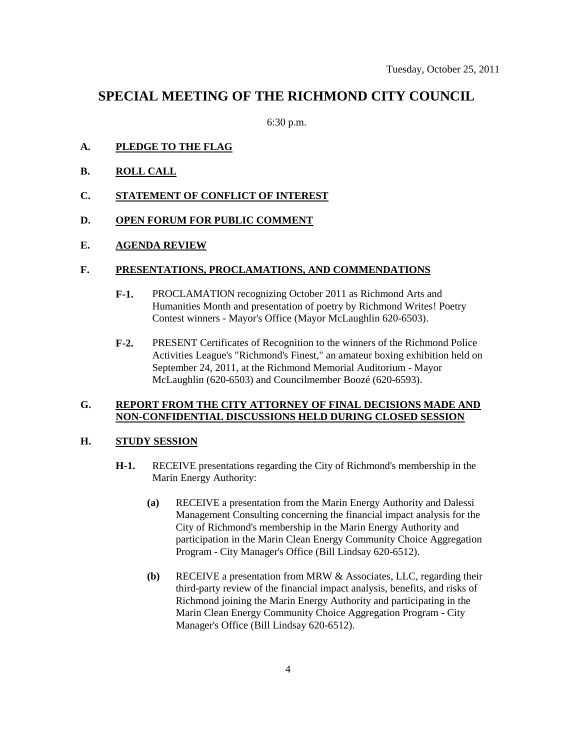# **SPECIAL MEETING OF THE RICHMOND CITY COUNCIL**

6:30 p.m.

- **A. PLEDGE TO THE FLAG**
- **B. ROLL CALL**
- **C. STATEMENT OF CONFLICT OF INTEREST**
- **D. OPEN FORUM FOR PUBLIC COMMENT**
- **E. AGENDA REVIEW**

### **F. PRESENTATIONS, PROCLAMATIONS, AND COMMENDATIONS**

- **F-1.** PROCLAMATION recognizing October 2011 as Richmond Arts and Humanities Month and presentation of poetry by Richmond Writes! Poetry Contest winners - Mayor's Office (Mayor McLaughlin 620-6503).
- **F-2.** PRESENT Certificates of Recognition to the winners of the Richmond Police Activities League's "Richmond's Finest," an amateur boxing exhibition held on September 24, 2011, at the Richmond Memorial Auditorium - Mayor McLaughlin (620-6503) and Councilmember Boozé (620-6593).

## **G. REPORT FROM THE CITY ATTORNEY OF FINAL DECISIONS MADE AND NON-CONFIDENTIAL DISCUSSIONS HELD DURING CLOSED SESSION**

### **H. STUDY SESSION**

- **H-1.** RECEIVE presentations regarding the City of Richmond's membership in the Marin Energy Authority:
	- **(a)** RECEIVE a presentation from the Marin Energy Authority and Dalessi Management Consulting concerning the financial impact analysis for the City of Richmond's membership in the Marin Energy Authority and participation in the Marin Clean Energy Community Choice Aggregation Program - City Manager's Office (Bill Lindsay 620-6512).
	- **(b)** RECEIVE a presentation from MRW & Associates, LLC, regarding their third-party review of the financial impact analysis, benefits, and risks of Richmond joining the Marin Energy Authority and participating in the Marin Clean Energy Community Choice Aggregation Program - City Manager's Office (Bill Lindsay 620-6512).